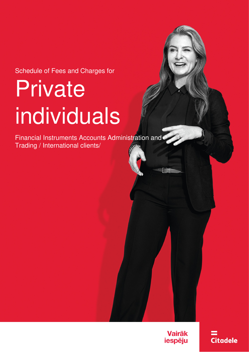Schedule of Fees and Charges for

# **Private** individuals

Financial Instruments Accounts Administration and Trading / International clients/

> **Vairāk** iespēju

**Citadele**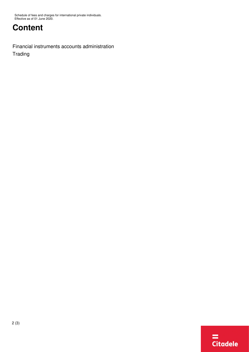## **Content**

[Financial instruments accounts administration](#page-2-0) [Trading](#page-2-1)